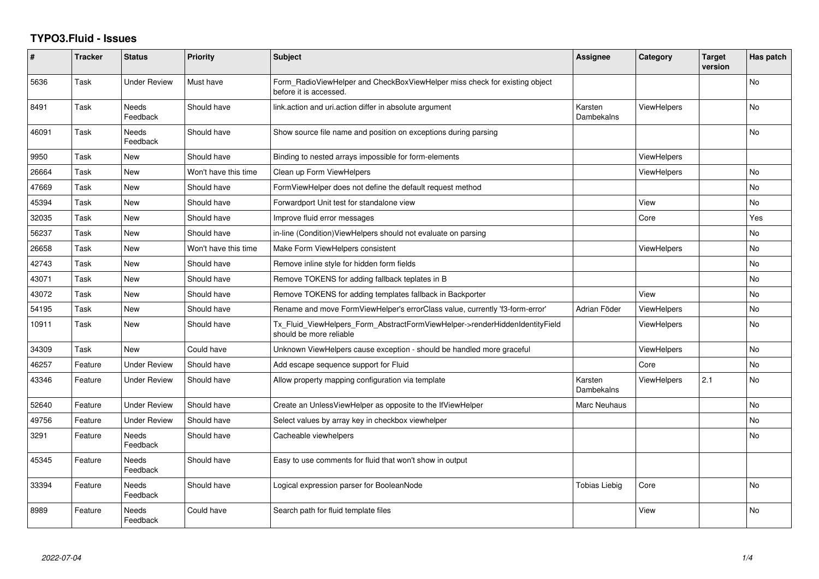## **TYPO3.Fluid - Issues**

| #     | <b>Tracker</b> | <b>Status</b>            | <b>Priority</b>      | <b>Subject</b>                                                                                         | Assignee              | Category           | <b>Target</b><br>version | Has patch      |
|-------|----------------|--------------------------|----------------------|--------------------------------------------------------------------------------------------------------|-----------------------|--------------------|--------------------------|----------------|
| 5636  | Task           | <b>Under Review</b>      | Must have            | Form_RadioViewHelper and CheckBoxViewHelper miss check for existing object<br>before it is accessed.   |                       |                    |                          | <b>No</b>      |
| 8491  | Task           | <b>Needs</b><br>Feedback | Should have          | link.action and uri.action differ in absolute argument                                                 | Karsten<br>Dambekalns | ViewHelpers        |                          | <b>No</b>      |
| 46091 | Task           | <b>Needs</b><br>Feedback | Should have          | Show source file name and position on exceptions during parsing                                        |                       |                    |                          | No             |
| 9950  | Task           | New                      | Should have          | Binding to nested arrays impossible for form-elements                                                  |                       | ViewHelpers        |                          |                |
| 26664 | Task           | New                      | Won't have this time | Clean up Form ViewHelpers                                                                              |                       | ViewHelpers        |                          | N <sub>o</sub> |
| 47669 | Task           | New                      | Should have          | FormViewHelper does not define the default request method                                              |                       |                    |                          | No             |
| 45394 | Task           | New                      | Should have          | Forwardport Unit test for standalone view                                                              |                       | View               |                          | <b>No</b>      |
| 32035 | Task           | New                      | Should have          | Improve fluid error messages                                                                           |                       | Core               |                          | Yes            |
| 56237 | Task           | New                      | Should have          | in-line (Condition)ViewHelpers should not evaluate on parsing                                          |                       |                    |                          | No             |
| 26658 | Task           | New                      | Won't have this time | Make Form ViewHelpers consistent                                                                       |                       | <b>ViewHelpers</b> |                          | No.            |
| 42743 | Task           | New                      | Should have          | Remove inline style for hidden form fields                                                             |                       |                    |                          | No             |
| 43071 | Task           | New                      | Should have          | Remove TOKENS for adding fallback teplates in B                                                        |                       |                    |                          | <b>No</b>      |
| 43072 | Task           | New                      | Should have          | Remove TOKENS for adding templates fallback in Backporter                                              |                       | View               |                          | No             |
| 54195 | Task           | New                      | Should have          | Rename and move FormViewHelper's errorClass value, currently 'f3-form-error'                           | Adrian Föder          | ViewHelpers        |                          | No             |
| 10911 | Task           | New                      | Should have          | Tx_Fluid_ViewHelpers_Form_AbstractFormViewHelper->renderHiddenIdentityField<br>should be more reliable |                       | ViewHelpers        |                          | No             |
| 34309 | Task           | <b>New</b>               | Could have           | Unknown ViewHelpers cause exception - should be handled more graceful                                  |                       | ViewHelpers        |                          | <b>No</b>      |
| 46257 | Feature        | Under Review             | Should have          | Add escape sequence support for Fluid                                                                  |                       | Core               |                          | No             |
| 43346 | Feature        | <b>Under Review</b>      | Should have          | Allow property mapping configuration via template                                                      | Karsten<br>Dambekalns | ViewHelpers        | 2.1                      | No             |
| 52640 | Feature        | <b>Under Review</b>      | Should have          | Create an UnlessViewHelper as opposite to the IfViewHelper                                             | Marc Neuhaus          |                    |                          | No             |
| 49756 | Feature        | Under Review             | Should have          | Select values by array key in checkbox viewhelper                                                      |                       |                    |                          | No             |
| 3291  | Feature        | <b>Needs</b><br>Feedback | Should have          | Cacheable viewhelpers                                                                                  |                       |                    |                          | <b>No</b>      |
| 45345 | Feature        | Needs<br>Feedback        | Should have          | Easy to use comments for fluid that won't show in output                                               |                       |                    |                          |                |
| 33394 | Feature        | Needs<br>Feedback        | Should have          | Logical expression parser for BooleanNode                                                              | <b>Tobias Liebig</b>  | Core               |                          | No             |
| 8989  | Feature        | Needs<br>Feedback        | Could have           | Search path for fluid template files                                                                   |                       | View               |                          | No             |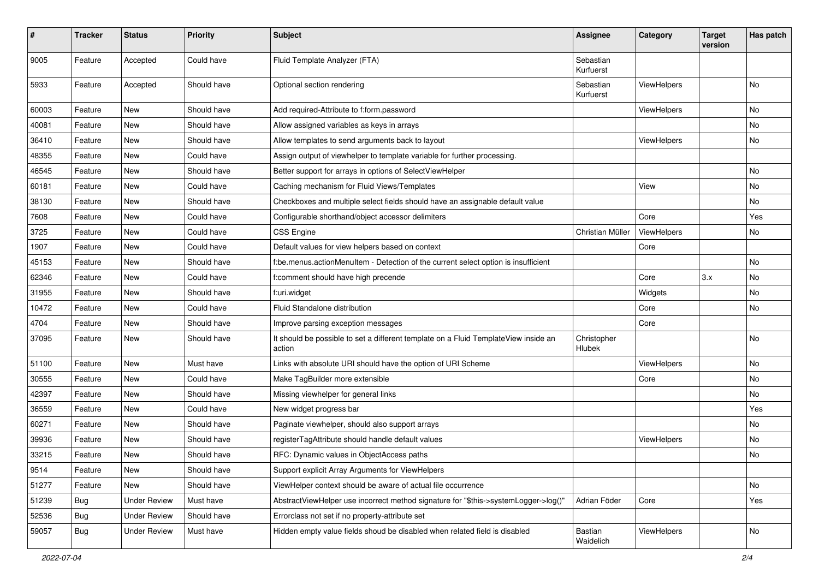| #     | <b>Tracker</b> | <b>Status</b>       | <b>Priority</b> | Subject                                                                                       | <b>Assignee</b>        | Category    | <b>Target</b><br>version | Has patch |
|-------|----------------|---------------------|-----------------|-----------------------------------------------------------------------------------------------|------------------------|-------------|--------------------------|-----------|
| 9005  | Feature        | Accepted            | Could have      | Fluid Template Analyzer (FTA)                                                                 | Sebastian<br>Kurfuerst |             |                          |           |
| 5933  | Feature        | Accepted            | Should have     | Optional section rendering                                                                    | Sebastian<br>Kurfuerst | ViewHelpers |                          | No        |
| 60003 | Feature        | New                 | Should have     | Add required-Attribute to f:form.password                                                     |                        | ViewHelpers |                          | No        |
| 40081 | Feature        | New                 | Should have     | Allow assigned variables as keys in arrays                                                    |                        |             |                          | No        |
| 36410 | Feature        | New                 | Should have     | Allow templates to send arguments back to layout                                              |                        | ViewHelpers |                          | No        |
| 48355 | Feature        | New                 | Could have      | Assign output of viewhelper to template variable for further processing.                      |                        |             |                          |           |
| 46545 | Feature        | New                 | Should have     | Better support for arrays in options of SelectViewHelper                                      |                        |             |                          | No        |
| 60181 | Feature        | New                 | Could have      | Caching mechanism for Fluid Views/Templates                                                   |                        | View        |                          | No        |
| 38130 | Feature        | New                 | Should have     | Checkboxes and multiple select fields should have an assignable default value                 |                        |             |                          | No        |
| 7608  | Feature        | New                 | Could have      | Configurable shorthand/object accessor delimiters                                             |                        | Core        |                          | Yes       |
| 3725  | Feature        | New                 | Could have      | <b>CSS Engine</b>                                                                             | Christian Müller       | ViewHelpers |                          | No        |
| 1907  | Feature        | New                 | Could have      | Default values for view helpers based on context                                              |                        | Core        |                          |           |
| 45153 | Feature        | New                 | Should have     | f:be.menus.actionMenuItem - Detection of the current select option is insufficient            |                        |             |                          | No        |
| 62346 | Feature        | New                 | Could have      | f:comment should have high precende                                                           |                        | Core        | 3.x                      | No        |
| 31955 | Feature        | New                 | Should have     | f:uri.widget                                                                                  |                        | Widgets     |                          | <b>No</b> |
| 10472 | Feature        | New                 | Could have      | Fluid Standalone distribution                                                                 |                        | Core        |                          | No        |
| 4704  | Feature        | New                 | Should have     | Improve parsing exception messages                                                            |                        | Core        |                          |           |
| 37095 | Feature        | New                 | Should have     | It should be possible to set a different template on a Fluid TemplateView inside an<br>action | Christopher<br>Hlubek  |             |                          | No        |
| 51100 | Feature        | New                 | Must have       | Links with absolute URI should have the option of URI Scheme                                  |                        | ViewHelpers |                          | No        |
| 30555 | Feature        | New                 | Could have      | Make TagBuilder more extensible                                                               |                        | Core        |                          | No        |
| 42397 | Feature        | New                 | Should have     | Missing viewhelper for general links                                                          |                        |             |                          | No        |
| 36559 | Feature        | New                 | Could have      | New widget progress bar                                                                       |                        |             |                          | Yes       |
| 60271 | Feature        | New                 | Should have     | Paginate viewhelper, should also support arrays                                               |                        |             |                          | No        |
| 39936 | Feature        | <b>New</b>          | Should have     | registerTagAttribute should handle default values                                             |                        | ViewHelpers |                          | No        |
| 33215 | Feature        | New                 | Should have     | RFC: Dynamic values in ObjectAccess paths                                                     |                        |             |                          | No        |
| 9514  | Feature        | New                 | Should have     | Support explicit Array Arguments for ViewHelpers                                              |                        |             |                          |           |
| 51277 | Feature        | New                 | Should have     | ViewHelper context should be aware of actual file occurrence                                  |                        |             |                          | No        |
| 51239 | <b>Bug</b>     | <b>Under Review</b> | Must have       | AbstractViewHelper use incorrect method signature for "\$this->systemLogger->log()"           | Adrian Föder           | Core        |                          | Yes       |
| 52536 | Bug            | <b>Under Review</b> | Should have     | Errorclass not set if no property-attribute set                                               |                        |             |                          |           |
| 59057 | Bug            | <b>Under Review</b> | Must have       | Hidden empty value fields shoud be disabled when related field is disabled                    | Bastian<br>Waidelich   | ViewHelpers |                          | No        |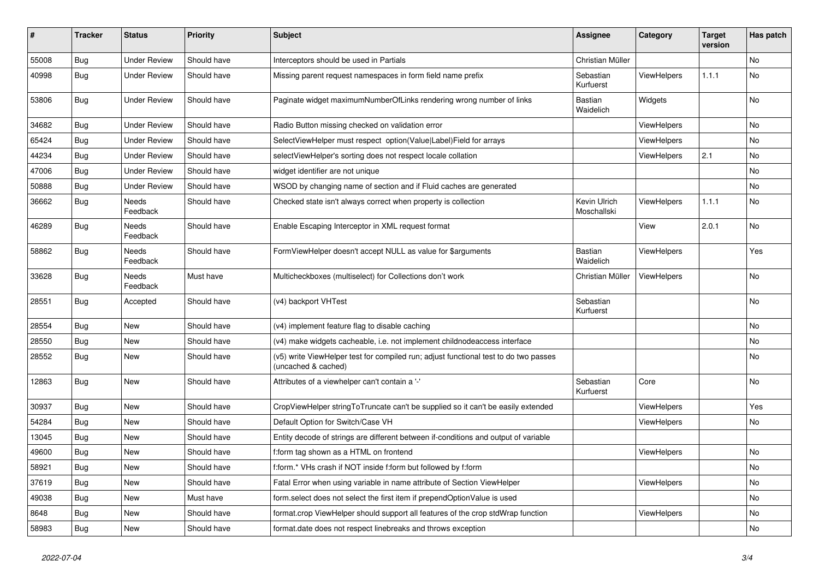| #     | <b>Tracker</b> | <b>Status</b>            | <b>Priority</b> | <b>Subject</b>                                                                                              | <b>Assignee</b>             | Category           | Target<br>version | Has patch |
|-------|----------------|--------------------------|-----------------|-------------------------------------------------------------------------------------------------------------|-----------------------------|--------------------|-------------------|-----------|
| 55008 | Bug            | <b>Under Review</b>      | Should have     | Interceptors should be used in Partials                                                                     | Christian Müller            |                    |                   | No        |
| 40998 | <b>Bug</b>     | <b>Under Review</b>      | Should have     | Missing parent request namespaces in form field name prefix                                                 | Sebastian<br>Kurfuerst      | ViewHelpers        | 1.1.1             | No        |
| 53806 | <b>Bug</b>     | <b>Under Review</b>      | Should have     | Paginate widget maximumNumberOfLinks rendering wrong number of links                                        | Bastian<br>Waidelich        | Widgets            |                   | No        |
| 34682 | Bug            | <b>Under Review</b>      | Should have     | Radio Button missing checked on validation error                                                            |                             | ViewHelpers        |                   | <b>No</b> |
| 65424 | <b>Bug</b>     | <b>Under Review</b>      | Should have     | SelectViewHelper must respect option(Value Label)Field for arrays                                           |                             | ViewHelpers        |                   | <b>No</b> |
| 44234 | <b>Bug</b>     | <b>Under Review</b>      | Should have     | selectViewHelper's sorting does not respect locale collation                                                |                             | ViewHelpers        | 2.1               | <b>No</b> |
| 47006 | Bug            | Under Review             | Should have     | widget identifier are not unique                                                                            |                             |                    |                   | <b>No</b> |
| 50888 | <b>Bug</b>     | <b>Under Review</b>      | Should have     | WSOD by changing name of section and if Fluid caches are generated                                          |                             |                    |                   | <b>No</b> |
| 36662 | Bug            | Needs<br>Feedback        | Should have     | Checked state isn't always correct when property is collection                                              | Kevin Ulrich<br>Moschallski | <b>ViewHelpers</b> | 1.1.1             | <b>No</b> |
| 46289 | <b>Bug</b>     | <b>Needs</b><br>Feedback | Should have     | Enable Escaping Interceptor in XML request format                                                           |                             | View               | 2.0.1             | <b>No</b> |
| 58862 | <b>Bug</b>     | Needs<br>Feedback        | Should have     | FormViewHelper doesn't accept NULL as value for \$arguments                                                 | Bastian<br>Waidelich        | ViewHelpers        |                   | Yes       |
| 33628 | <b>Bug</b>     | Needs<br>Feedback        | Must have       | Multicheckboxes (multiselect) for Collections don't work                                                    | Christian Müller            | ViewHelpers        |                   | <b>No</b> |
| 28551 | <b>Bug</b>     | Accepted                 | Should have     | (v4) backport VHTest                                                                                        | Sebastian<br>Kurfuerst      |                    |                   | <b>No</b> |
| 28554 | Bug            | New                      | Should have     | (v4) implement feature flag to disable caching                                                              |                             |                    |                   | No        |
| 28550 | <b>Bug</b>     | New                      | Should have     | (v4) make widgets cacheable, i.e. not implement childnodeaccess interface                                   |                             |                    |                   | No        |
| 28552 | <b>Bug</b>     | New                      | Should have     | (v5) write ViewHelper test for compiled run; adjust functional test to do two passes<br>(uncached & cached) |                             |                    |                   | No        |
| 12863 | Bug            | New                      | Should have     | Attributes of a viewhelper can't contain a '-'                                                              | Sebastian<br>Kurfuerst      | Core               |                   | <b>No</b> |
| 30937 | Bug            | New                      | Should have     | CropViewHelper stringToTruncate can't be supplied so it can't be easily extended                            |                             | <b>ViewHelpers</b> |                   | Yes       |
| 54284 | Bug            | New                      | Should have     | Default Option for Switch/Case VH                                                                           |                             | <b>ViewHelpers</b> |                   | No        |
| 13045 | Bug            | New                      | Should have     | Entity decode of strings are different between if-conditions and output of variable                         |                             |                    |                   |           |
| 49600 | <b>Bug</b>     | New                      | Should have     | f:form tag shown as a HTML on frontend                                                                      |                             | ViewHelpers        |                   | <b>No</b> |
| 58921 | Bug            | <b>New</b>               | Should have     | f:form.* VHs crash if NOT inside f:form but followed by f:form                                              |                             |                    |                   | <b>No</b> |
| 37619 | Bug            | New                      | Should have     | Fatal Error when using variable in name attribute of Section ViewHelper                                     |                             | <b>ViewHelpers</b> |                   | <b>No</b> |
| 49038 | Bug            | <b>New</b>               | Must have       | form.select does not select the first item if prependOptionValue is used                                    |                             |                    |                   | No        |
| 8648  | Bug            | <b>New</b>               | Should have     | format.crop ViewHelper should support all features of the crop stdWrap function                             |                             | ViewHelpers        |                   | <b>No</b> |
| 58983 | Bug            | <b>New</b>               | Should have     | format.date does not respect linebreaks and throws exception                                                |                             |                    |                   | <b>No</b> |